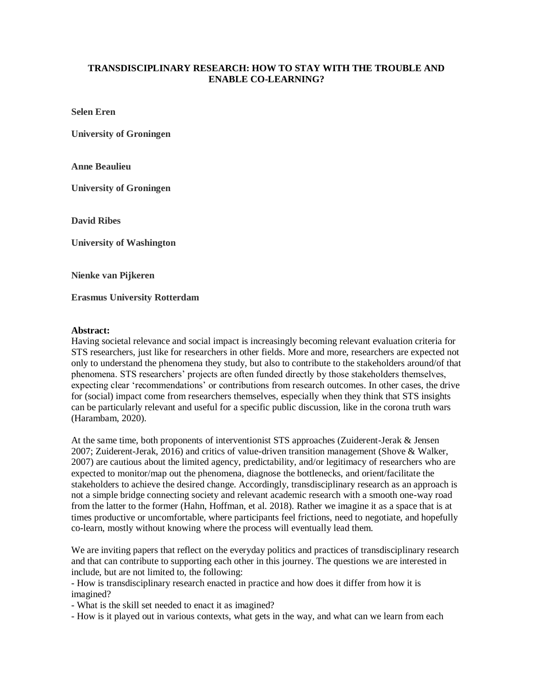## **TRANSDISCIPLINARY RESEARCH: HOW TO STAY WITH THE TROUBLE AND ENABLE CO-LEARNING?**

**Selen Eren**

**University of Groningen**

**Anne Beaulieu**

**University of Groningen**

**David Ribes**

**University of Washington**

**Nienke van Pijkeren**

**Erasmus University Rotterdam**

## **Abstract:**

Having societal relevance and social impact is increasingly becoming relevant evaluation criteria for STS researchers, just like for researchers in other fields. More and more, researchers are expected not only to understand the phenomena they study, but also to contribute to the stakeholders around/of that phenomena. STS researchers' projects are often funded directly by those stakeholders themselves, expecting clear 'recommendations' or contributions from research outcomes. In other cases, the drive for (social) impact come from researchers themselves, especially when they think that STS insights can be particularly relevant and useful for a specific public discussion, like in the corona truth wars (Harambam, 2020).

At the same time, both proponents of interventionist STS approaches (Zuiderent-Jerak & Jensen 2007; Zuiderent-Jerak, 2016) and critics of value-driven transition management (Shove & Walker, 2007) are cautious about the limited agency, predictability, and/or legitimacy of researchers who are expected to monitor/map out the phenomena, diagnose the bottlenecks, and orient/facilitate the stakeholders to achieve the desired change. Accordingly, transdisciplinary research as an approach is not a simple bridge connecting society and relevant academic research with a smooth one-way road from the latter to the former (Hahn, Hoffman, et al. 2018). Rather we imagine it as a space that is at times productive or uncomfortable, where participants feel frictions, need to negotiate, and hopefully co-learn, mostly without knowing where the process will eventually lead them.

We are inviting papers that reflect on the everyday politics and practices of transdisciplinary research and that can contribute to supporting each other in this journey. The questions we are interested in include, but are not limited to, the following:

- How is transdisciplinary research enacted in practice and how does it differ from how it is imagined?

- What is the skill set needed to enact it as imagined?

- How is it played out in various contexts, what gets in the way, and what can we learn from each